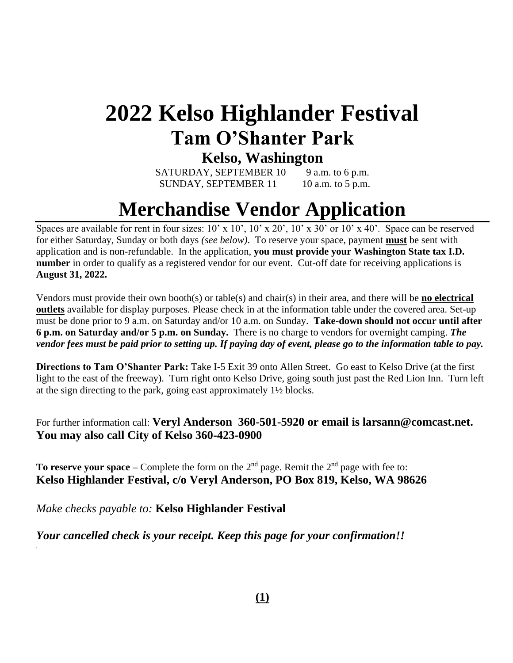# **2022 Kelso Highlander Festival Tam O'Shanter Park**

### **Kelso, Washington**

SATURDAY, SEPTEMBER  $10$  9 a.m. to 6 p.m. SUNDAY, SEPTEMBER  $11$  10 a.m. to 5 p.m.

## **Merchandise Vendor Application**

Spaces are available for rent in four sizes: 10' x 10', 10' x 20', 10' x 30' or 10' x 40'. Space can be reserved for either Saturday, Sunday or both days *(see below)*. To reserve your space, payment **must** be sent with application and is non-refundable. In the application, **you must provide your Washington State tax I.D. number** in order to qualify as a registered vendor for our event. Cut-off date for receiving applications is **August 31, 2022.** 

Vendors must provide their own booth(s) or table(s) and chair(s) in their area, and there will be **no electrical outlets** available for display purposes. Please check in at the information table under the covered area. Set-up must be done prior to 9 a.m. on Saturday and/or 10 a.m. on Sunday. **Take-down should not occur until after 6 p.m. on Saturday and/or 5 p.m. on Sunday.** There is no charge to vendors for overnight camping. *The vendor fees must be paid prior to setting up. If paying day of event, please go to the information table to pay.*

**Directions to Tam O'Shanter Park:** Take I-5 Exit 39 onto Allen Street. Go east to Kelso Drive (at the first light to the east of the freeway). Turn right onto Kelso Drive, going south just past the Red Lion Inn. Turn left at the sign directing to the park, going east approximately 1½ blocks.

For further information call: **Veryl Anderson 360-501-5920 or email is larsann@comcast.net. You may also call City of Kelso 360-423-0900**

**To reserve your space** – Complete the form on the  $2<sup>nd</sup>$  page. Remit the  $2<sup>nd</sup>$  page with fee to: **Kelso Highlander Festival, c/o Veryl Anderson, PO Box 819, Kelso, WA 98626** Î

*Make checks payable to:* **Kelso Highlander Festival**

*.*

*Your cancelled check is your receipt. Keep this page for your confirmation!!*